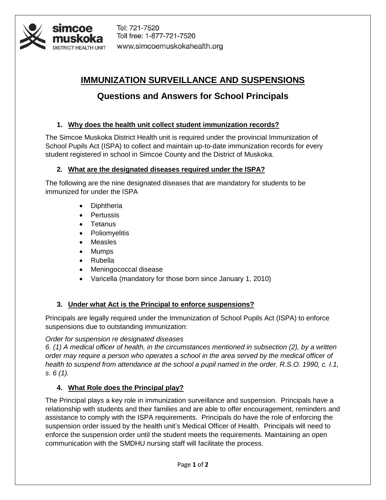

Tel: 721-7520 Toll free: 1-877-721-7520 www.simcoemuskokahealth.org

# **IMMUNIZATION SURVEILLANCE AND SUSPENSIONS**

# **Questions and Answers for School Principals**

## **1. Why does the health unit collect student immunization records?**

The Simcoe Muskoka District Health unit is required under the provincial Immunization of School Pupils Act (ISPA) to collect and maintain up-to-date immunization records for every student registered in school in Simcoe County and the District of Muskoka.

## **2. What are the designated diseases required under the ISPA?**

The following are the nine designated diseases that are mandatory for students to be immunized for under the ISPA

- Diphtheria
- Pertussis
- Tetanus
- Poliomyelitis
- Measles
- Mumps
- Rubella
- Meningococcal disease
- Varicella (mandatory for those born since January 1, 2010)

## **3. Under what Act is the Principal to enforce suspensions?**

Principals are legally required under the Immunization of School Pupils Act (ISPA) to enforce suspensions due to outstanding immunization:

*Order for suspension re designated diseases* 

*6. (1) A medical officer of health, in the circumstances mentioned in subsection (2), by a written order may require a person who operates a school in the area served by the medical officer of health to suspend from attendance at the school a pupil named in the order. R.S.O. 1990, c. I.1, s. 6 (1).*

## **4. What Role does the Principal play?**

The Principal plays a key role in immunization surveillance and suspension. Principals have a relationship with students and their families and are able to offer encouragement, reminders and assistance to comply with the ISPA requirements. Principals do have the role of enforcing the suspension order issued by the health unit's Medical Officer of Health. Principals will need to enforce the suspension order until the student meets the requirements. Maintaining an open communication with the SMDHU nursing staff will facilitate the process.